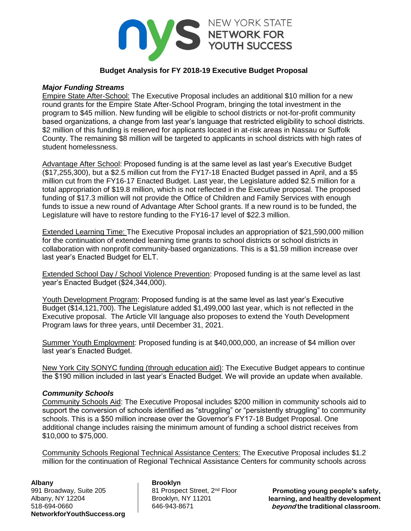

# **Budget Analysis for FY 2018-19 Executive Budget Proposal**

## *Major Funding Streams*

Empire State After-School: The Executive Proposal includes an additional \$10 million for a new round grants for the Empire State After-School Program, bringing the total investment in the program to \$45 million. New funding will be eligible to school districts or not-for-profit community based organizations, a change from last year's language that restricted eligibility to school districts. \$2 million of this funding is reserved for applicants located in at-risk areas in Nassau or Suffolk County. The remaining \$8 million will be targeted to applicants in school districts with high rates of student homelessness.

Advantage After School: Proposed funding is at the same level as last year's Executive Budget (\$17,255,300), but a \$2.5 million cut from the FY17-18 Enacted Budget passed in April, and a \$5 million cut from the FY16-17 Enacted Budget. Last year, the Legislature added \$2.5 million for a total appropriation of \$19.8 million, which is not reflected in the Executive proposal. The proposed funding of \$17.3 million will not provide the Office of Children and Family Services with enough funds to issue a new round of Advantage After School grants. If a new round is to be funded, the Legislature will have to restore funding to the FY16-17 level of \$22.3 million.

Extended Learning Time: The Executive Proposal includes an appropriation of \$21,590,000 million for the continuation of extended learning time grants to school districts or school districts in collaboration with nonprofit community-based organizations. This is a \$1.59 million increase over last year's Enacted Budget for ELT.

Extended School Day / School Violence Prevention: Proposed funding is at the same level as last year's Enacted Budget (\$24,344,000).

Youth Development Program: Proposed funding is at the same level as last year's Executive Budget (\$14,121,700). The Legislature added \$1,499,000 last year, which is not reflected in the Executive proposal. The Article VII language also proposes to extend the Youth Development Program laws for three years, until December 31, 2021.

Summer Youth Employment: Proposed funding is at \$40,000,000, an increase of \$4 million over last year's Enacted Budget.

New York City SONYC funding (through education aid): The Executive Budget appears to continue the \$190 million included in last year's Enacted Budget. We will provide an update when available.

### *Community Schools*

Community Schools Aid: The Executive Proposal includes \$200 million in community schools aid to support the conversion of schools identified as "struggling" or "persistently struggling" to community schools. This is a \$50 million increase over the Governor's FY17-18 Budget Proposal. One additional change includes raising the minimum amount of funding a school district receives from \$10,000 to \$75,000.

Community Schools Regional Technical Assistance Centers: The Executive Proposal includes \$1.2 million for the continuation of Regional Technical Assistance Centers for community schools across

991 Broadway, Suite 205 81 Prospect Street, 2<sup>nd</sup> Floor Albany, NY 12204 | Brooklyn, NY 11201 518-694-0660 646-943-8671 **NetworkforYouthSuccess.org**

# **Albany Brooklyn**

**Promoting young people's safety, learning, and healthy development beyond the traditional classroom.**